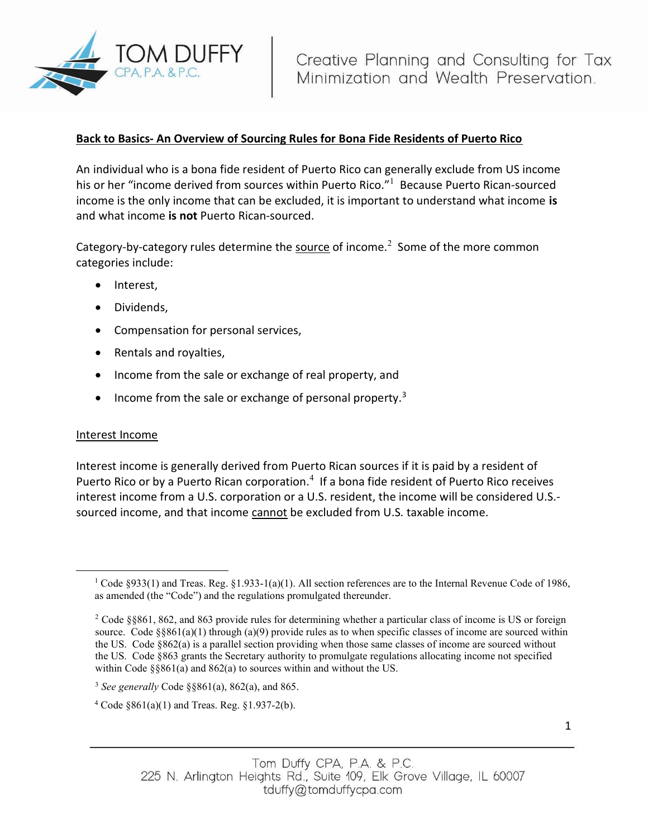

# Back to Basics- An Overview of Sourcing Rules for Bona Fide Residents of Puerto Rico

An individual who is a bona fide resident of Puerto Rico can generally exclude from US income his or her "income derived from sources within Puerto Rico."<sup>1</sup> Because Puerto Rican-sourced income is the only income that can be excluded, it is important to understand what income is and what income is not Puerto Rican-sourced.

Category-by-category rules determine the source of income.<sup>2</sup> Some of the more common categories include:

- Interest,
- Dividends,
- Compensation for personal services,
- Rentals and royalties,
- Income from the sale or exchange of real property, and
- Income from the sale or exchange of personal property.<sup>3</sup>

#### Interest Income

Interest income is generally derived from Puerto Rican sources if it is paid by a resident of Puerto Rico or by a Puerto Rican corporation. $4$  If a bona fide resident of Puerto Rico receives interest income from a U.S. corporation or a U.S. resident, the income will be considered U.S. sourced income, and that income cannot be excluded from U.S. taxable income.

<sup>&</sup>lt;sup>1</sup> Code §933(1) and Treas. Reg. §1.933-1(a)(1). All section references are to the Internal Revenue Code of 1986, as amended (the "Code") and the regulations promulgated thereunder.

<sup>&</sup>lt;sup>2</sup> Code §§861, 862, and 863 provide rules for determining whether a particular class of income is US or foreign source. Code  $\S$ §861(a)(1) through (a)(9) provide rules as to when specific classes of income are sourced within the US. Code §862(a) is a parallel section providing when those same classes of income are sourced without the US. Code §863 grants the Secretary authority to promulgate regulations allocating income not specified within Code §§861(a) and 862(a) to sources within and without the US.

 $3$  See generally Code  $\S$ §861(a), 862(a), and 865.

 $4 \text{ Code } \S 861(a)(1)$  and Treas. Reg.  $\S 1.937-2(b)$ .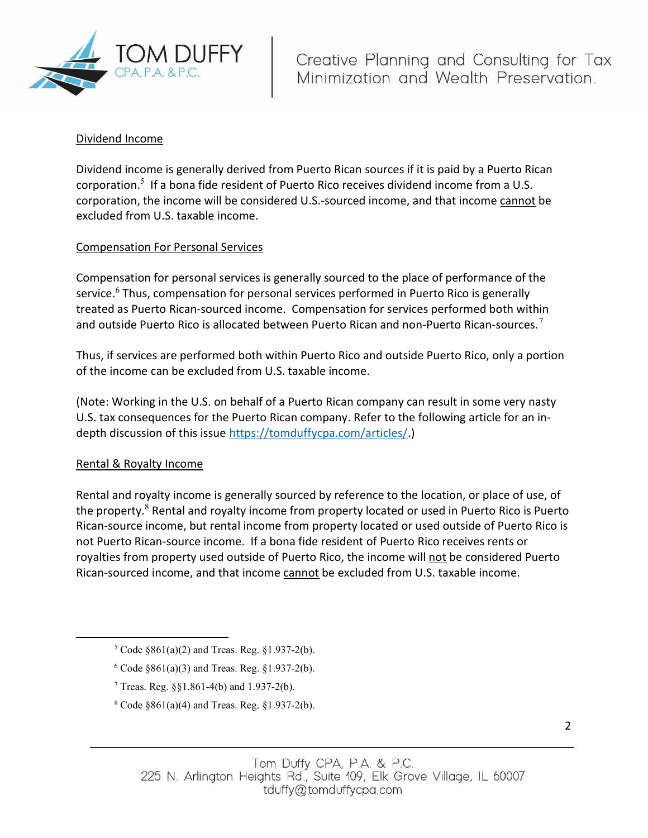

## Dividend Income

Dividend income is generally derived from Puerto Rican sources if it is paid by a Puerto Rican corporation.<sup>5</sup> If a bona fide resident of Puerto Rico receives dividend income from a U.S. corporation, the income will be considered U.S.-sourced income, and that income cannot be excluded from U.S. taxable income.

## Compensation For Personal Services

Compensation for personal services is generally sourced to the place of performance of the service.<sup>6</sup> Thus, compensation for personal services performed in Puerto Rico is generally treated as Puerto Rican-sourced income. Compensation for services performed both within and outside Puerto Rico is allocated between Puerto Rican and non-Puerto Rican-sources.<sup>7</sup>

Thus, if services are performed both within Puerto Rico and outside Puerto Rico, only a portion of the income can be excluded from U.S. taxable income.

(Note: Working in the U.S. on behalf of a Puerto Rican company can result in some very nasty U.S. tax consequences for the Puerto Rican company. Refer to the following article for an indepth discussion of this issue https://tomduffycpa.com/articles/.)

#### Rental & Royalty Income

Rental and royalty income is generally sourced by reference to the location, or place of use, of the property.<sup>8</sup> Rental and royalty income from property located or used in Puerto Rico is Puerto Rican-source income, but rental income from property located or used outside of Puerto Rico is not Puerto Rican-source income. If a bona fide resident of Puerto Rico receives rents or royalties from property used outside of Puerto Rico, the income will not be considered Puerto Rican-sourced income, and that income cannot be excluded from U.S. taxable income.

- $6 \text{ Code } \S 861(a)(3)$  and Treas. Reg.  $\S 1.937-2(b)$ .
- <sup>7</sup> Treas. Reg.  $\S$ §1.861-4(b) and 1.937-2(b).
- $8 \text{ Code } $861(a)(4) \text{ and Trees. Reg. } $1.937-2(b).$

 $5 \text{ Code } \S 861(a)(2)$  and Treas. Reg.  $\S 1.937-2(b)$ .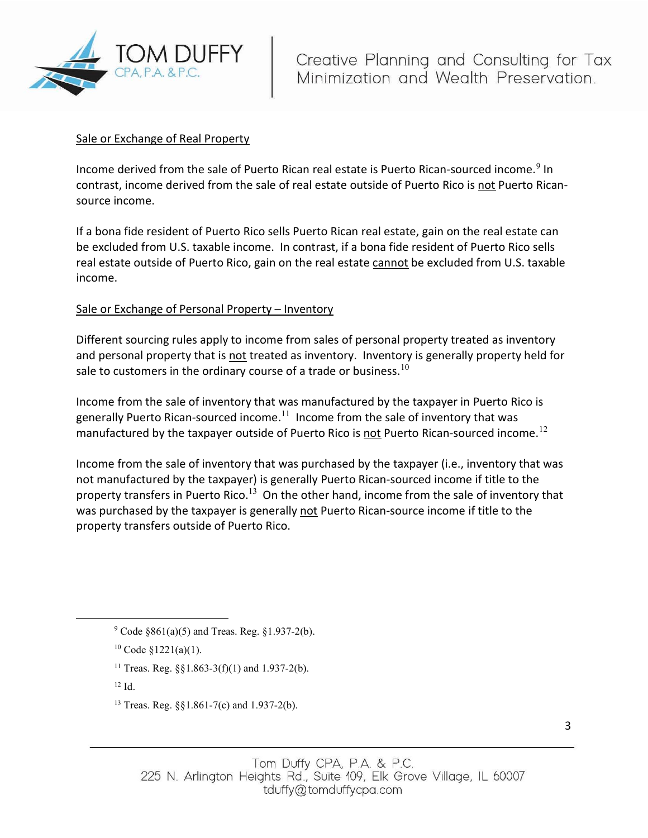

#### Sale or Exchange of Real Property

Income derived from the sale of Puerto Rican real estate is Puerto Rican-sourced income.<sup>9</sup> In contrast, income derived from the sale of real estate outside of Puerto Rico is not Puerto Ricansource income.

If a bona fide resident of Puerto Rico sells Puerto Rican real estate, gain on the real estate can be excluded from U.S. taxable income. In contrast, if a bona fide resident of Puerto Rico sells real estate outside of Puerto Rico, gain on the real estate cannot be excluded from U.S. taxable income.

## Sale or Exchange of Personal Property – Inventory

Different sourcing rules apply to income from sales of personal property treated as inventory and personal property that is not treated as inventory. Inventory is generally property held for sale to customers in the ordinary course of a trade or business.<sup>10</sup>

Income from the sale of inventory that was manufactured by the taxpayer in Puerto Rico is generally Puerto Rican-sourced income.<sup>11</sup> Income from the sale of inventory that was manufactured by the taxpayer outside of Puerto Rico is not Puerto Rican-sourced income.<sup>12</sup>

Income from the sale of inventory that was purchased by the taxpayer (i.e., inventory that was not manufactured by the taxpayer) is generally Puerto Rican-sourced income if title to the property transfers in Puerto Rico.<sup>13</sup> On the other hand, income from the sale of inventory that was purchased by the taxpayer is generally not Puerto Rican-source income if title to the property transfers outside of Puerto Rico.

 $12$  Id.

 $9^9$  Code  $861(a)(5)$  and Treas. Reg.  $81.937-2(b)$ .

 $10 \text{ Code } $1221(a)(1)$ .

<sup>&</sup>lt;sup>11</sup> Treas. Reg.  $\S$ §1.863-3(f)(1) and 1.937-2(b).

<sup>13</sup> Treas. Reg. §§1.861-7(c) and 1.937-2(b).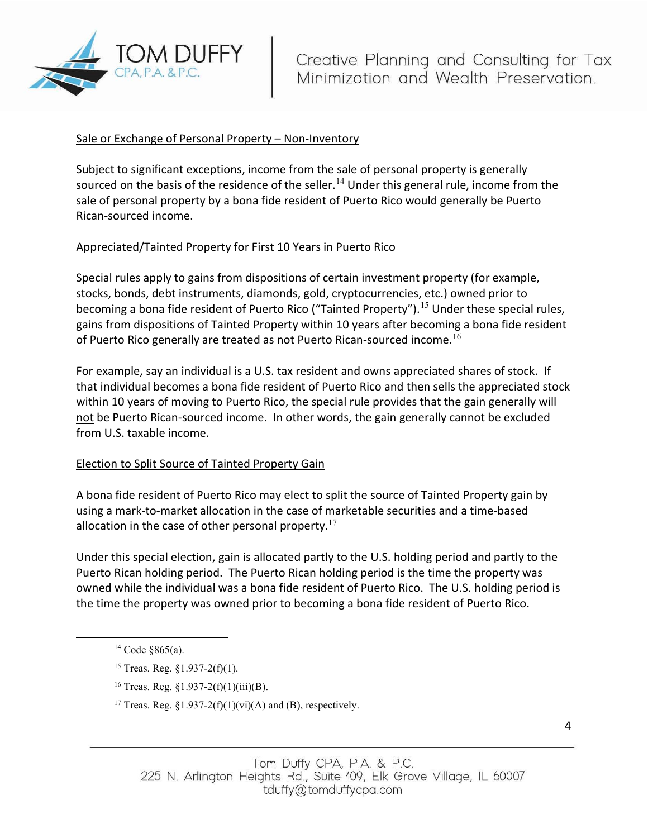

# Sale or Exchange of Personal Property - Non-Inventory

Subject to significant exceptions, income from the sale of personal property is generally sourced on the basis of the residence of the seller.<sup>14</sup> Under this general rule, income from the sale of personal property by a bona fide resident of Puerto Rico would generally be Puerto Rican-sourced income.

## Appreciated/Tainted Property for First 10 Years in Puerto Rico

Special rules apply to gains from dispositions of certain investment property (for example, stocks, bonds, debt instruments, diamonds, gold, cryptocurrencies, etc.) owned prior to becoming a bona fide resident of Puerto Rico ("Tainted Property").<sup>15</sup> Under these special rules, gains from dispositions of Tainted Property within 10 years after becoming a bona fide resident of Puerto Rico generally are treated as not Puerto Rican-sourced income.<sup>16</sup>

For example, say an individual is a U.S. tax resident and owns appreciated shares of stock. If that individual becomes a bona fide resident of Puerto Rico and then sells the appreciated stock within 10 years of moving to Puerto Rico, the special rule provides that the gain generally will not be Puerto Rican-sourced income. In other words, the gain generally cannot be excluded from U.S. taxable income.

#### Election to Split Source of Tainted Property Gain

A bona fide resident of Puerto Rico may elect to split the source of Tainted Property gain by using a mark-to-market allocation in the case of marketable securities and a time-based allocation in the case of other personal property.<sup>17</sup>

Under this special election, gain is allocated partly to the U.S. holding period and partly to the Puerto Rican holding period. The Puerto Rican holding period is the time the property was owned while the individual was a bona fide resident of Puerto Rico. The U.S. holding period is the time the property was owned prior to becoming a bona fide resident of Puerto Rico.

 $14 \text{ Code } $865(a).$ 

<sup>15</sup> Treas. Reg. §1.937-2(f)(1).

<sup>&</sup>lt;sup>16</sup> Treas. Reg. §1.937-2(f)(1)(iii)(B).

<sup>&</sup>lt;sup>17</sup> Treas. Reg. §1.937-2(f)(1)(vi)(A) and (B), respectively.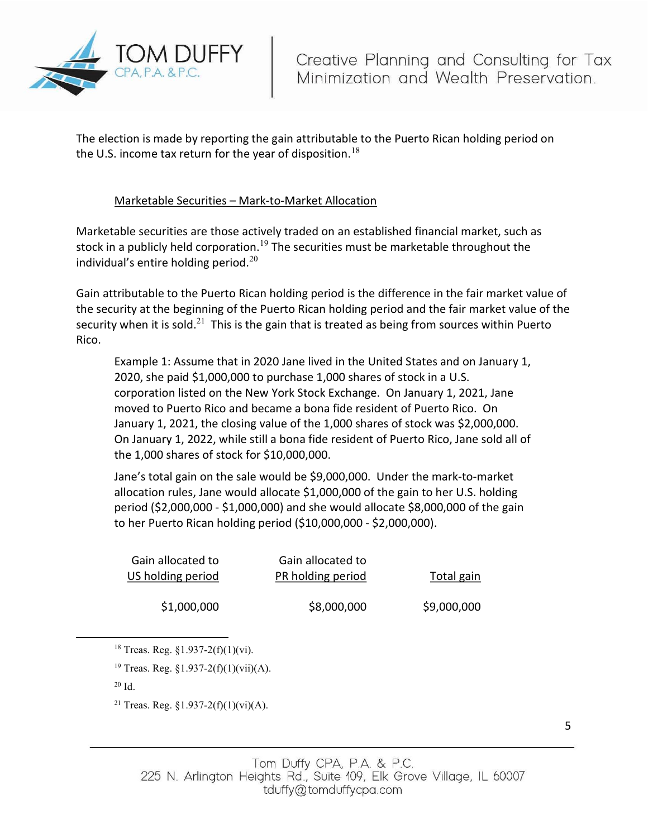

The election is made by reporting the gain attributable to the Puerto Rican holding period on the U.S. income tax return for the year of disposition.<sup>18</sup>

# Marketable Securities – Mark-to-Market Allocation

Marketable securities are those actively traded on an established financial market, such as stock in a publicly held corporation.<sup>19</sup> The securities must be marketable throughout the individual's entire holding period. $20<sup>20</sup>$ 

Gain attributable to the Puerto Rican holding period is the difference in the fair market value of the security at the beginning of the Puerto Rican holding period and the fair market value of the security when it is sold.<sup>21</sup> This is the gain that is treated as being from sources within Puerto Rico.

Example 1: Assume that in 2020 Jane lived in the United States and on January 1, 2020, she paid \$1,000,000 to purchase 1,000 shares of stock in a U.S. corporation listed on the New York Stock Exchange. On January 1, 2021, Jane moved to Puerto Rico and became a bona fide resident of Puerto Rico. On January 1, 2021, the closing value of the 1,000 shares of stock was \$2,000,000. On January 1, 2022, while still a bona fide resident of Puerto Rico, Jane sold all of the 1,000 shares of stock for \$10,000,000.

Jane's total gain on the sale would be \$9,000,000. Under the mark-to-market allocation rules, Jane would allocate \$1,000,000 of the gain to her U.S. holding period (\$2,000,000 - \$1,000,000) and she would allocate \$8,000,000 of the gain to her Puerto Rican holding period (\$10,000,000 - \$2,000,000).

| Total gain  | Gain allocated to<br>PR holding period | Gain allocated to<br>US holding period |
|-------------|----------------------------------------|----------------------------------------|
| \$9,000,000 | \$8,000,000                            | \$1,000,000                            |

<sup>&</sup>lt;sup>18</sup> Treas. Reg.  $$1.937-2(f)(1)(vi)$ .

 $20$  Id.

<sup>&</sup>lt;sup>19</sup> Treas. Reg. §1.937-2(f)(1)(vii)(A).

<sup>&</sup>lt;sup>21</sup> Treas. Reg.  $$1.937-2(f)(1)(vi)(A)$ .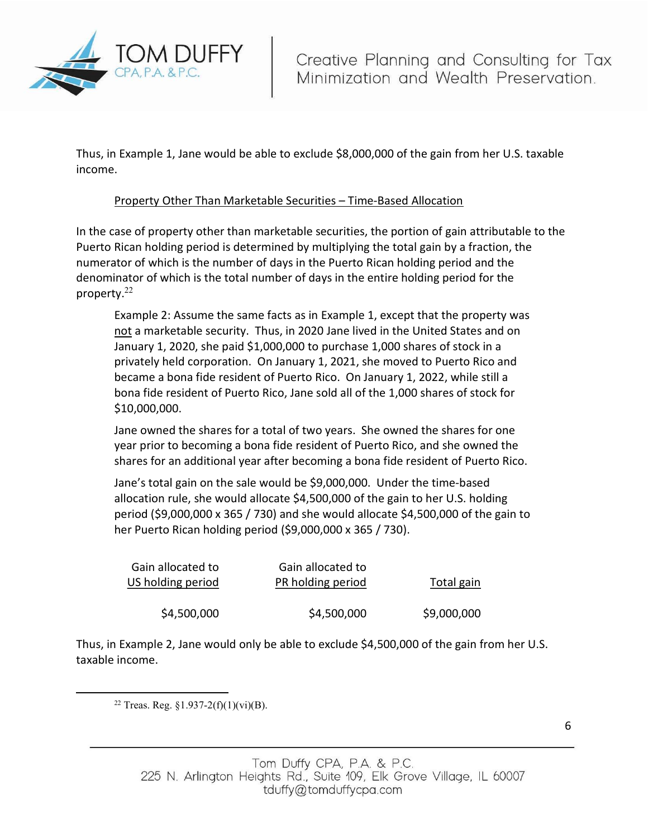

Thus, in Example 1, Jane would be able to exclude \$8,000,000 of the gain from her U.S. taxable income.

# Property Other Than Marketable Securities – Time-Based Allocation

In the case of property other than marketable securities, the portion of gain attributable to the Puerto Rican holding period is determined by multiplying the total gain by a fraction, the numerator of which is the number of days in the Puerto Rican holding period and the denominator of which is the total number of days in the entire holding period for the property. $22$ 

Example 2: Assume the same facts as in Example 1, except that the property was not a marketable security. Thus, in 2020 Jane lived in the United States and on January 1, 2020, she paid \$1,000,000 to purchase 1,000 shares of stock in a privately held corporation. On January 1, 2021, she moved to Puerto Rico and became a bona fide resident of Puerto Rico. On January 1, 2022, while still a bona fide resident of Puerto Rico, Jane sold all of the 1,000 shares of stock for \$10,000,000.

Jane owned the shares for a total of two years. She owned the shares for one year prior to becoming a bona fide resident of Puerto Rico, and she owned the shares for an additional year after becoming a bona fide resident of Puerto Rico.

Jane's total gain on the sale would be \$9,000,000. Under the time-based allocation rule, she would allocate \$4,500,000 of the gain to her U.S. holding period (\$9,000,000 x 365 / 730) and she would allocate \$4,500,000 of the gain to her Puerto Rican holding period (\$9,000,000 x 365 / 730).

| Total gain  | Gain allocated to<br>PR holding period | Gain allocated to<br>US holding period |
|-------------|----------------------------------------|----------------------------------------|
| \$9,000,000 | \$4,500,000                            | \$4,500,000                            |

Thus, in Example 2, Jane would only be able to exclude \$4,500,000 of the gain from her U.S. taxable income.

<sup>22</sup> Treas. Reg.  $$1.937-2(f)(1)(vi)(B)$ .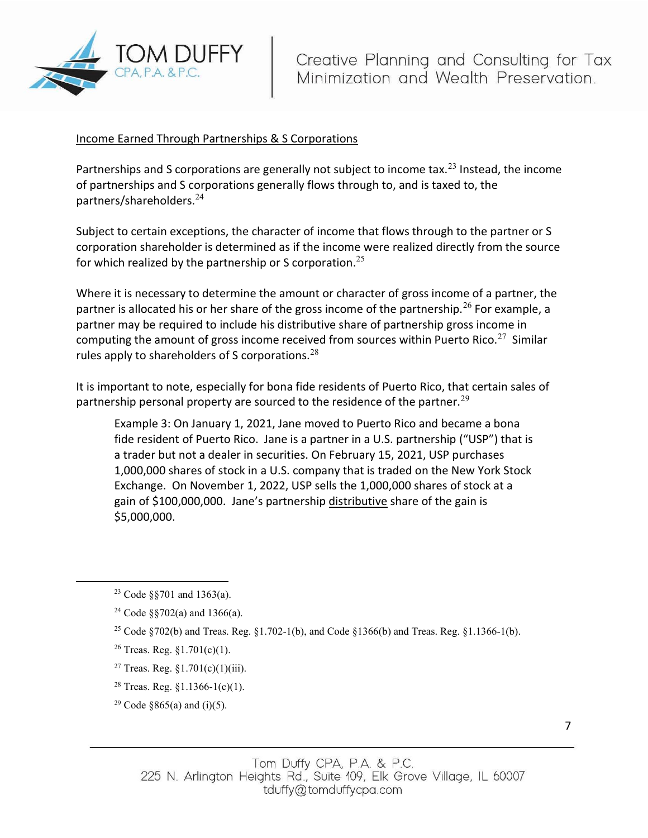

# Income Earned Through Partnerships & S Corporations

Partnerships and S corporations are generally not subject to income tax.<sup>23</sup> Instead, the income of partnerships and S corporations generally flows through to, and is taxed to, the partners/shareholders.<sup>24</sup>

Subject to certain exceptions, the character of income that flows through to the partner or S corporation shareholder is determined as if the income were realized directly from the source for which realized by the partnership or S corporation.<sup>25</sup>

Where it is necessary to determine the amount or character of gross income of a partner, the partner is allocated his or her share of the gross income of the partnership.<sup>26</sup> For example, a partner may be required to include his distributive share of partnership gross income in computing the amount of gross income received from sources within Puerto Rico.<sup>27</sup> Similar rules apply to shareholders of S corporations. $^{28}$ 

It is important to note, especially for bona fide residents of Puerto Rico, that certain sales of partnership personal property are sourced to the residence of the partner.<sup>29</sup>

Example 3: On January 1, 2021, Jane moved to Puerto Rico and became a bona fide resident of Puerto Rico. Jane is a partner in a U.S. partnership ("USP") that is a trader but not a dealer in securities. On February 15, 2021, USP purchases 1,000,000 shares of stock in a U.S. company that is traded on the New York Stock Exchange. On November 1, 2022, USP sells the 1,000,000 shares of stock at a gain of \$100,000,000. Jane's partnership distributive share of the gain is \$5,000,000.

<sup>&</sup>lt;sup>23</sup> Code §§701 and 1363(a).

<sup>24</sup> Code §§702(a) and 1366(a).

<sup>&</sup>lt;sup>25</sup> Code §702(b) and Treas. Reg. §1.702-1(b), and Code §1366(b) and Treas. Reg. §1.1366-1(b).

<sup>&</sup>lt;sup>26</sup> Treas. Reg.  $$1.701(c)(1)$ .

<sup>&</sup>lt;sup>27</sup> Treas. Reg.  $$1.701(c)(1)(iii)$ .

<sup>&</sup>lt;sup>28</sup> Treas. Reg.  $\S 1.1366 - 1(c)(1)$ .

<sup>&</sup>lt;sup>29</sup> Code §865(a) and (i)(5).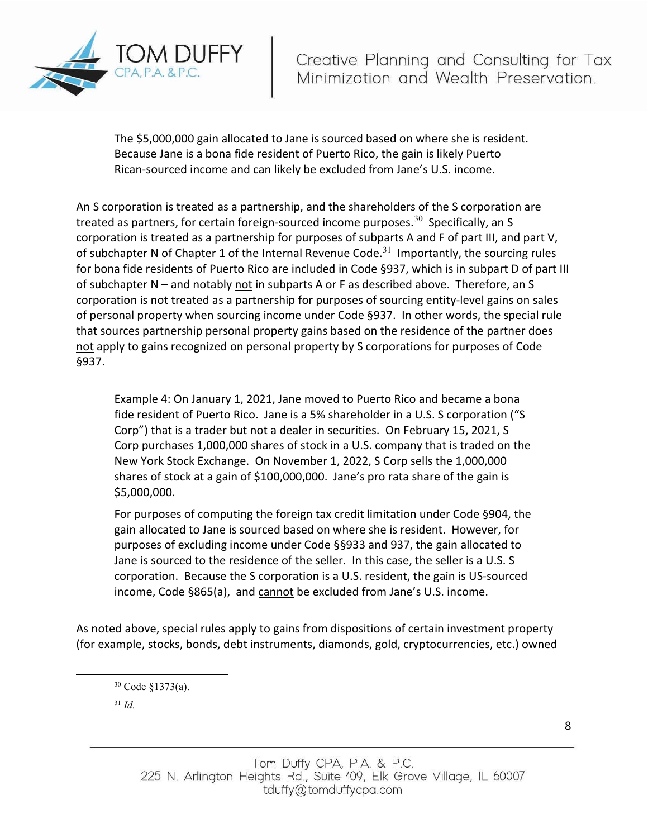

The \$5,000,000 gain allocated to Jane is sourced based on where she is resident. Because Jane is a bona fide resident of Puerto Rico, the gain is likely Puerto Rican-sourced income and can likely be excluded from Jane's U.S. income.

An S corporation is treated as a partnership, and the shareholders of the S corporation are treated as partners, for certain foreign-sourced income purposes.<sup>30</sup> Specifically, an S corporation is treated as a partnership for purposes of subparts A and F of part III, and part V, of subchapter N of Chapter 1 of the Internal Revenue Code.<sup>31</sup> Importantly, the sourcing rules for bona fide residents of Puerto Rico are included in Code §937, which is in subpart D of part III of subchapter N – and notably not in subparts A or F as described above. Therefore, an S corporation is not treated as a partnership for purposes of sourcing entity-level gains on sales of personal property when sourcing income under Code §937. In other words, the special rule that sources partnership personal property gains based on the residence of the partner does not apply to gains recognized on personal property by S corporations for purposes of Code §937.

Example 4: On January 1, 2021, Jane moved to Puerto Rico and became a bona fide resident of Puerto Rico. Jane is a 5% shareholder in a U.S. S corporation ("S Corp") that is a trader but not a dealer in securities. On February 15, 2021, S Corp purchases 1,000,000 shares of stock in a U.S. company that is traded on the New York Stock Exchange. On November 1, 2022, S Corp sells the 1,000,000 shares of stock at a gain of \$100,000,000. Jane's pro rata share of the gain is \$5,000,000.

For purposes of computing the foreign tax credit limitation under Code §904, the gain allocated to Jane is sourced based on where she is resident. However, for purposes of excluding income under Code §§933 and 937, the gain allocated to Jane is sourced to the residence of the seller. In this case, the seller is a U.S. S corporation. Because the S corporation is a U.S. resident, the gain is US-sourced income, Code §865(a), and cannot be excluded from Jane's U.S. income.

As noted above, special rules apply to gains from dispositions of certain investment property (for example, stocks, bonds, debt instruments, diamonds, gold, cryptocurrencies, etc.) owned

 $31$  *Id.* 

<sup>30</sup> Code §1373(a).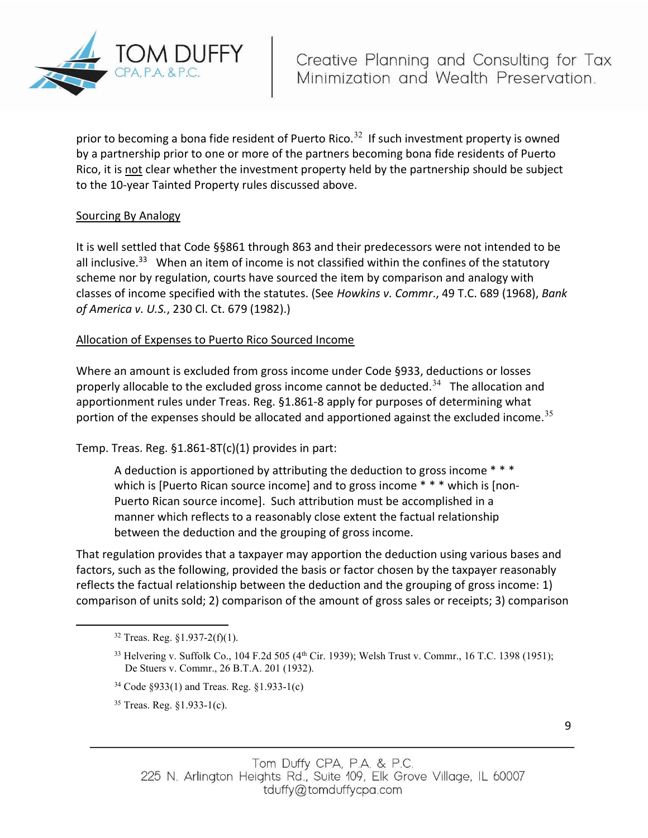

prior to becoming a bona fide resident of Puerto Rico.<sup>32</sup> If such investment property is owned by a partnership prior to one or more of the partners becoming bona fide residents of Puerto Rico, it is not clear whether the investment property held by the partnership should be subject to the 10-year Tainted Property rules discussed above.

# Sourcing By Analogy

It is well settled that Code §§861 through 863 and their predecessors were not intended to be all inclusive.<sup>33</sup> When an item of income is not classified within the confines of the statutory scheme nor by regulation, courts have sourced the item by comparison and analogy with classes of income specified with the statutes. (See Howkins v. Commr., 49 T.C. 689 (1968), Bank of America v. U.S., 230 Cl. Ct. 679 (1982).)

## Allocation of Expenses to Puerto Rico Sourced Income

Where an amount is excluded from gross income under Code §933, deductions or losses properly allocable to the excluded gross income cannot be deducted.<sup>34</sup> The allocation and apportionment rules under Treas. Reg. §1.861-8 apply for purposes of determining what portion of the expenses should be allocated and apportioned against the excluded income.<sup>35</sup>

Temp. Treas. Reg. §1.861-8T(c)(1) provides in part:

A deduction is apportioned by attributing the deduction to gross income \*\*\* which is [Puerto Rican source income] and to gross income \* \* \* which is [non-Puerto Rican source income]. Such attribution must be accomplished in a manner which reflects to a reasonably close extent the factual relationship between the deduction and the grouping of gross income.

That regulation provides that a taxpayer may apportion the deduction using various bases and factors, such as the following, provided the basis or factor chosen by the taxpayer reasonably reflects the factual relationship between the deduction and the grouping of gross income: 1) comparison of units sold; 2) comparison of the amount of gross sales or receipts; 3) comparison

<sup>34</sup> Code §933(1) and Treas. Reg. §1.933-1(c)

35 Treas. Reg. §1.933-1(c).

 $32$  Treas. Reg.  $\S 1.937 - 2(f)(1)$ .

 $33$  Helvering v. Suffolk Co., 104 F.2d 505 (4<sup>th</sup> Cir. 1939); Welsh Trust v. Commr., 16 T.C. 1398 (1951); De Stuers v. Commr., 26 B.T.A. 201 (1932).